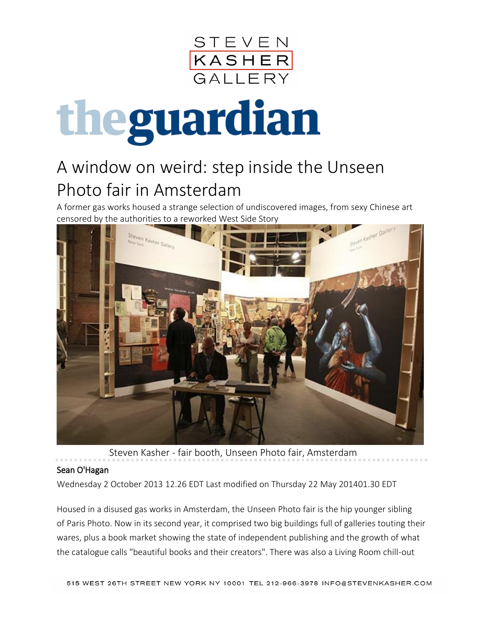

## theguardian

## A window on weird: step inside the Unseen Photo fair in Amsterdam

A former gas works housed a strange selection of undiscovered images, from sexy Chinese art censored by the authorities to a reworked West Side Story



Steven Kasher - fair booth, Unseen Photo fair, Amsterdam

## [Sean O'Hagan](http://www.theguardian.com/profile/seanohagan)

Wednesday 2 October 2013 12.26 EDT Last modified on Thursday 22 May 201401.30 EDT

Housed in a disused gas works in Amsterdam, the [Unseen Photo fair](http://www.unseenamsterdam.com/) is the hip younger sibling of [Paris Photo.](http://www.parisphoto.com/) Now in its second year, it comprised two big buildings full of galleries touting their wares, plus a book market showing the state of independent publishing and the growth of what the catalogue calls "beautiful books and their creators". There was also a Living Room chill-out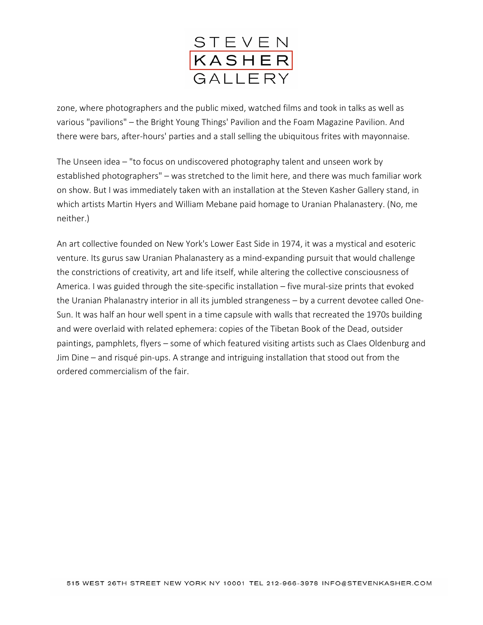

zone, where photographers and the public mixed, watched films and took in talks as well as various "pavilions" – the Bright Young Things' Pavilion and the Foam Magazine Pavilion. And there were bars, after-hours' parties and a stall selling the ubiquitous frites with mayonnaise.

The Unseen idea – "to focus on undiscovered photography talent and unseen work by established photographers" – was stretched to the limit here, and there was much familiar work on show. But I was immediately taken with an installation at the [Steven Kasher Gallery](http://www.stevenkasher.com/exhibition/92/press_release/) stand, in which artists Martin Hyers and William Mebane paid homage to [Uranian Phalanastery.](http://www.uranianphalanstery.org/) (No, me neither.)

An art collective founded on New York's Lower East Side in 1974, it was a mystical and esoteric venture. Its gurus saw Uranian Phalanastery as a mind-expanding pursuit that would challenge the constrictions of creativity, art and life itself, while altering the collective consciousness of America. I was guided through the site-specific installation – five mural-size prints that evoked the Uranian Phalanastry interior in all its jumbled strangeness – by a current devotee called [One-](http://onesunart.com/)[Sun.](http://onesunart.com/) It was half an hour well spent in a time capsule with walls that recreated the 1970s building and were overlaid with related ephemera: copies of the Tibetan Book of the Dead, outsider paintings, pamphlets, flyers – some of which featured visiting artists such as Claes Oldenburg and Jim Dine – and risqué pin-ups. A strange and intriguing installation that stood out from the ordered commercialism of the fair.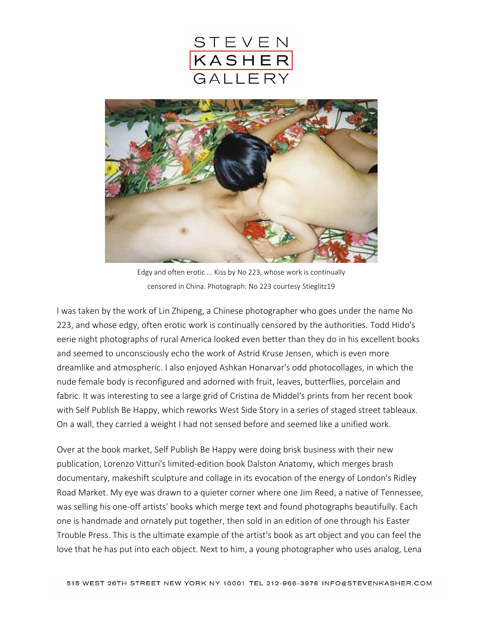



Edgy and often erotic ... Kiss by No 223, whose work is continually censored in China. Photograph: No 223 courtesy Stieglitz19

I was taken by the work of [Lin Zhipeng, a Chinese photographer who goes under the name No](http://www.linzhipeng223.com/demo/biography)  [223,](http://www.linzhipeng223.com/demo/biography) and whose edgy, often erotic work is continually censored by the authorities. [Todd Hido's](http://www.toddhido.com/) eerie night photographs of rural America looked even better than they do in his excellent books and seemed to unconsciously echo the work of [Astrid Kruse Jensen,](http://www.astridkrusejensen.com/) which is even more dreamlike and atmospheric. I also enjoyed [Ashkan Honarvar'](http://www.ashkanhonarvar.com/)s odd photocollages, in which the nude female body is reconfigured and adorned with fruit, leaves, butterflies, porcelain and fabric. It was interesting to see a large grid of [Cristina de Middel's](http://www.lademiddel.com/) prints from her recent book with [Self Publish Be Happy,](http://shop.selfpublishbehappy.com/product/spbh-book-club-vol-iii-by-cristina-de-middel) which reworks West Side Story in a series of staged street tableaux. On a wall, they carried a weight I had not sensed before and seemed like a unified work.

Over at the book market, [Self Publish Be Happy](http://www.selfpublishbehappy.com/) were doing brisk business with their new publication, [Lorenzo Vitturi's limited-edition book Dalston Anatomy,](http://shop.selfpublishbehappy.com/product/dalston-anatomy-by-lorenzo-vitturi) which merges brash documentary, makeshift sculpture and collage in its evocation of the energy of London's Ridley Road Market. My eye was drawn to a quieter corner where one Jim Reed, a native of Tennessee, was selling his one-off artists' books which merge text and found photographs beautifully. Each one is handmade and ornately put together, then sold in an edition of one through his [Easter](http://eastertroublepress.tumblr.com/)  [Trouble Press.](http://eastertroublepress.tumblr.com/) This is the ultimate example of the artist's book as art object and you can feel the love that he has put into each object. Next to him, a young photographer who uses analog, [Lena](http://www.lenagrass.com/)